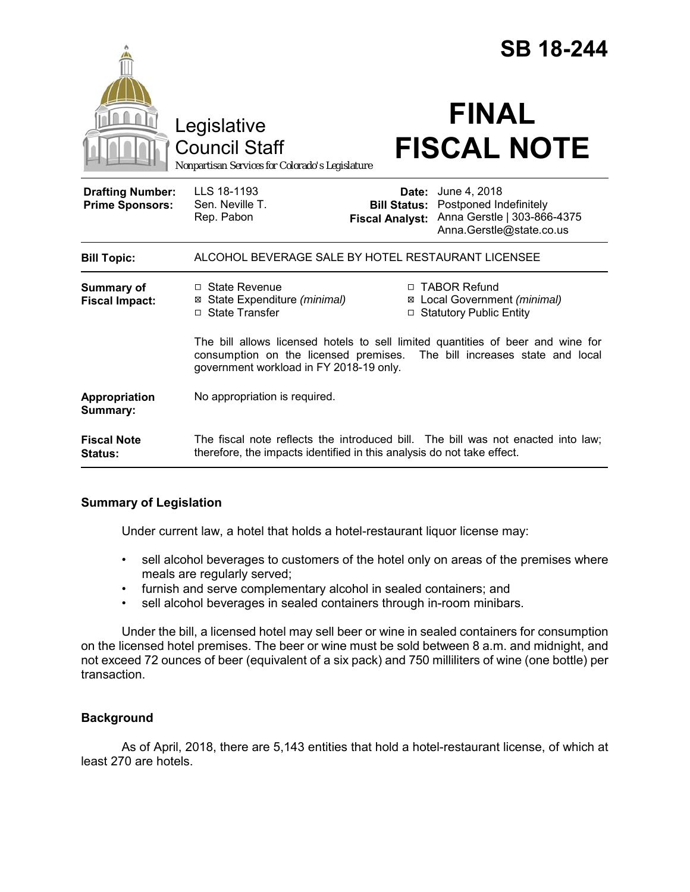|                                                   | Legislative<br><b>Council Staff</b><br>Nonpartisan Services for Colorado's Legislature                                                                                                                 |                                               | <b>SB 18-244</b><br><b>FINAL</b><br><b>FISCAL NOTE</b>                                                         |
|---------------------------------------------------|--------------------------------------------------------------------------------------------------------------------------------------------------------------------------------------------------------|-----------------------------------------------|----------------------------------------------------------------------------------------------------------------|
| <b>Drafting Number:</b><br><b>Prime Sponsors:</b> | LLS 18-1193<br>Sen. Neville T.<br>Rep. Pabon                                                                                                                                                           | <b>Bill Status:</b><br><b>Fiscal Analyst:</b> | <b>Date:</b> June 4, 2018<br>Postponed Indefinitely<br>Anna Gerstle   303-866-4375<br>Anna.Gerstle@state.co.us |
| <b>Bill Topic:</b>                                | ALCOHOL BEVERAGE SALE BY HOTEL RESTAURANT LICENSEE                                                                                                                                                     |                                               |                                                                                                                |
| <b>Summary of</b><br><b>Fiscal Impact:</b>        | $\Box$ State Revenue<br>⊠ State Expenditure (minimal)<br>$\Box$ State Transfer                                                                                                                         |                                               | □ TABOR Refund<br>⊠ Local Government (minimal)<br>□ Statutory Public Entity                                    |
|                                                   | The bill allows licensed hotels to sell limited quantities of beer and wine for<br>consumption on the licensed premises. The bill increases state and local<br>government workload in FY 2018-19 only. |                                               |                                                                                                                |
| Appropriation<br>Summary:                         | No appropriation is required.                                                                                                                                                                          |                                               |                                                                                                                |
| <b>Fiscal Note</b><br><b>Status:</b>              | therefore, the impacts identified in this analysis do not take effect.                                                                                                                                 |                                               | The fiscal note reflects the introduced bill. The bill was not enacted into law;                               |

# **Summary of Legislation**

Under current law, a hotel that holds a hotel-restaurant liquor license may:

- sell alcohol beverages to customers of the hotel only on areas of the premises where meals are regularly served;
- furnish and serve complementary alcohol in sealed containers; and
- sell alcohol beverages in sealed containers through in-room minibars.

Under the bill, a licensed hotel may sell beer or wine in sealed containers for consumption on the licensed hotel premises. The beer or wine must be sold between 8 a.m. and midnight, and not exceed 72 ounces of beer (equivalent of a six pack) and 750 milliliters of wine (one bottle) per transaction.

## **Background**

As of April, 2018, there are 5,143 entities that hold a hotel-restaurant license, of which at least 270 are hotels.